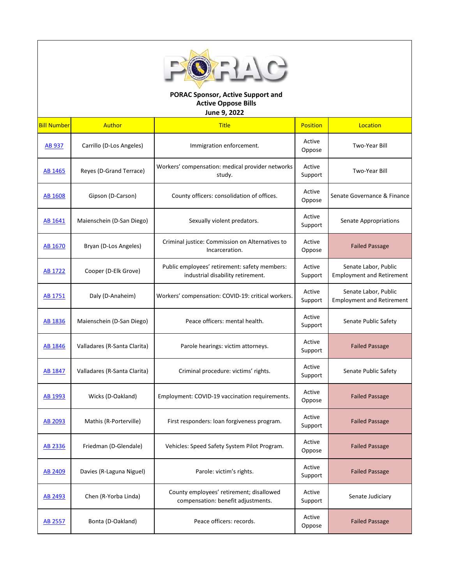

## **PORAC Sponsor, Active Support and Active Oppose Bills**

**June 9, 2022**

| <b>Bill Number</b> | Author                       | <b>Title</b>                                                                       | <b>Position</b>   | Location                                                 |
|--------------------|------------------------------|------------------------------------------------------------------------------------|-------------------|----------------------------------------------------------|
| <b>AB 937</b>      | Carrillo (D-Los Angeles)     | Immigration enforcement.                                                           | Active<br>Oppose  | Two-Year Bill                                            |
| AB 1465            | Reyes (D-Grand Terrace)      | Workers' compensation: medical provider networks<br>study.                         | Active<br>Support | <b>Two-Year Bill</b>                                     |
| AB 1608            | Gipson (D-Carson)            | County officers: consolidation of offices.                                         | Active<br>Oppose  | Senate Governance & Finance                              |
| <b>AB 1641</b>     | Maienschein (D-San Diego)    | Sexually violent predators.                                                        | Active<br>Support | Senate Appropriations                                    |
| AB 1670            | Bryan (D-Los Angeles)        | Criminal justice: Commission on Alternatives to<br>Incarceration.                  | Active<br>Oppose  | <b>Failed Passage</b>                                    |
| AB 1722            | Cooper (D-Elk Grove)         | Public employees' retirement: safety members:<br>industrial disability retirement. | Active<br>Support | Senate Labor, Public<br><b>Employment and Retirement</b> |
| AB 1751            | Daly (D-Anaheim)             | Workers' compensation: COVID-19: critical workers.                                 | Active<br>Support | Senate Labor, Public<br><b>Employment and Retirement</b> |
| <b>AB 1836</b>     | Maienschein (D-San Diego)    | Peace officers: mental health.                                                     | Active<br>Support | Senate Public Safety                                     |
| AB 1846            | Valladares (R-Santa Clarita) | Parole hearings: victim attorneys.                                                 | Active<br>Support | <b>Failed Passage</b>                                    |
| AB 1847            | Valladares (R-Santa Clarita) | Criminal procedure: victims' rights.                                               | Active<br>Support | Senate Public Safety                                     |
| <b>AB 1993</b>     | Wicks (D-Oakland)            | Employment: COVID-19 vaccination requirements.                                     | Active<br>Oppose  | <b>Failed Passage</b>                                    |
| AB 2093            | Mathis (R-Porterville)       | First responders: loan forgiveness program.                                        | Active<br>Support | <b>Failed Passage</b>                                    |
| AB 2336            | Friedman (D-Glendale)        | Vehicles: Speed Safety System Pilot Program.                                       | Active<br>Oppose  | <b>Failed Passage</b>                                    |
| AB 2409            | Davies (R-Laguna Niguel)     | Parole: victim's rights.                                                           | Active<br>Support | <b>Failed Passage</b>                                    |
| <b>AB 2493</b>     | Chen (R-Yorba Linda)         | County employees' retirement; disallowed<br>compensation: benefit adjustments.     | Active<br>Support | Senate Judiciary                                         |
| <b>AB 2557</b>     | Bonta (D-Oakland)            | Peace officers: records.                                                           | Active<br>Oppose  | <b>Failed Passage</b>                                    |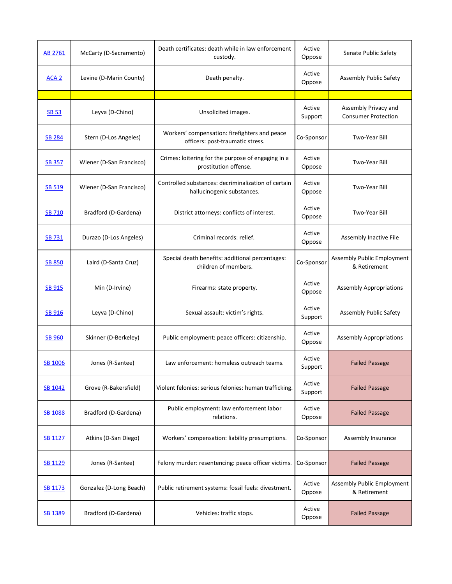| AB 2761          | McCarty (D-Sacramento)   | Death certificates: death while in law enforcement<br>custody.                    | Active<br>Oppose  | Senate Public Safety                               |
|------------------|--------------------------|-----------------------------------------------------------------------------------|-------------------|----------------------------------------------------|
| ACA <sub>2</sub> | Levine (D-Marin County)  | Death penalty.                                                                    | Active<br>Oppose  | Assembly Public Safety                             |
|                  |                          |                                                                                   |                   |                                                    |
| <b>SB 53</b>     | Leyva (D-Chino)          | Unsolicited images.                                                               | Active<br>Support | Assembly Privacy and<br><b>Consumer Protection</b> |
| <b>SB 284</b>    | Stern (D-Los Angeles)    | Workers' compensation: firefighters and peace<br>officers: post-traumatic stress. | Co-Sponsor        | Two-Year Bill                                      |
| <b>SB 357</b>    | Wiener (D-San Francisco) | Crimes: loitering for the purpose of engaging in a<br>prostitution offense.       | Active<br>Oppose  | Two-Year Bill                                      |
| <b>SB 519</b>    | Wiener (D-San Francisco) | Controlled substances: decriminalization of certain<br>hallucinogenic substances. | Active<br>Oppose  | Two-Year Bill                                      |
| SB 710           | Bradford (D-Gardena)     | District attorneys: conflicts of interest.                                        | Active<br>Oppose  | <b>Two-Year Bill</b>                               |
| <b>SB 731</b>    | Durazo (D-Los Angeles)   | Criminal records: relief.                                                         | Active<br>Oppose  | Assembly Inactive File                             |
| <b>SB 850</b>    | Laird (D-Santa Cruz)     | Special death benefits: additional percentages:<br>children of members.           | Co-Sponsor        | Assembly Public Employment<br>& Retirement         |
| <b>SB 915</b>    | Min (D-Irvine)           | Firearms: state property.                                                         | Active<br>Oppose  | <b>Assembly Appropriations</b>                     |
| <b>SB 916</b>    | Leyva (D-Chino)          | Sexual assault: victim's rights.                                                  | Active<br>Support | Assembly Public Safety                             |
| <b>SB 960</b>    | Skinner (D-Berkeley)     | Public employment: peace officers: citizenship.                                   | Active<br>Oppose  | <b>Assembly Appropriations</b>                     |
| SB 1006          | Jones (R-Santee)         | Law enforcement: homeless outreach teams.                                         | Active<br>Support | <b>Failed Passage</b>                              |
| SB 1042          | Grove (R-Bakersfield)    | Violent felonies: serious felonies: human trafficking.                            | Active<br>Support | <b>Failed Passage</b>                              |
| <b>SB 1088</b>   | Bradford (D-Gardena)     | Public employment: law enforcement labor<br>relations.                            | Active<br>Oppose  | <b>Failed Passage</b>                              |
| <b>SB 1127</b>   | Atkins (D-San Diego)     | Workers' compensation: liability presumptions.                                    | Co-Sponsor        | Assembly Insurance                                 |
| <b>SB 1129</b>   | Jones (R-Santee)         | Felony murder: resentencing: peace officer victims.                               | Co-Sponsor        | <b>Failed Passage</b>                              |
| SB 1173          | Gonzalez (D-Long Beach)  | Public retirement systems: fossil fuels: divestment.                              | Active<br>Oppose  | Assembly Public Employment<br>& Retirement         |
| SB 1389          | Bradford (D-Gardena)     | Vehicles: traffic stops.                                                          | Active<br>Oppose  | <b>Failed Passage</b>                              |